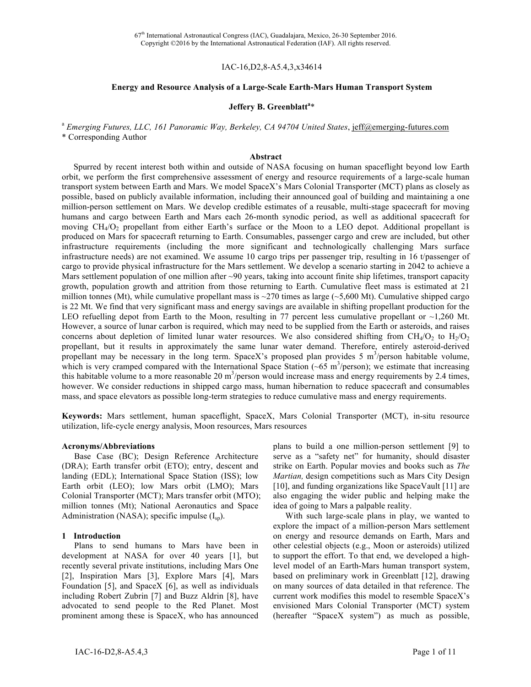### IAC-16,D2,8-A5.4,3,x34614

#### **Energy and Resource Analysis of a Large-Scale Earth-Mars Human Transport System**

# **Jeffery B. Greenblatt<sup>a</sup>** \*

<sup>a</sup> *Emerging Futures, LLC, 161 Panoramic Way, Berkeley, CA 94704 United States*, jeff@emerging-futures.com \* Corresponding Author

#### **Abstract**

Spurred by recent interest both within and outside of NASA focusing on human spaceflight beyond low Earth orbit, we perform the first comprehensive assessment of energy and resource requirements of a large-scale human transport system between Earth and Mars. We model SpaceX's Mars Colonial Transporter (MCT) plans as closely as possible, based on publicly available information, including their announced goal of building and maintaining a one million-person settlement on Mars. We develop credible estimates of a reusable, multi-stage spacecraft for moving humans and cargo between Earth and Mars each 26-month synodic period, as well as additional spacecraft for moving  $CH_4/O_2$  propellant from either Earth's surface or the Moon to a LEO depot. Additional propellant is produced on Mars for spacecraft returning to Earth. Consumables, passenger cargo and crew are included, but other infrastructure requirements (including the more significant and technologically challenging Mars surface infrastructure needs) are not examined. We assume 10 cargo trips per passenger trip, resulting in 16 t/passenger of cargo to provide physical infrastructure for the Mars settlement. We develop a scenario starting in 2042 to achieve a Mars settlement population of one million after ~90 years, taking into account finite ship lifetimes, transport capacity growth, population growth and attrition from those returning to Earth. Cumulative fleet mass is estimated at 21 million tonnes (Mt), while cumulative propellant mass is  $\sim$ 270 times as large ( $\sim$ 5,600 Mt). Cumulative shipped cargo is 22 Mt. We find that very significant mass and energy savings are available in shifting propellant production for the LEO refuelling depot from Earth to the Moon, resulting in 77 percent less cumulative propellant or  $\sim$ 1,260 Mt. However, a source of lunar carbon is required, which may need to be supplied from the Earth or asteroids, and raises concerns about depletion of limited lunar water resources. We also considered shifting from CH<sub>4</sub>/O<sub>2</sub> to H<sub>2</sub>/O<sub>2</sub> propellant, but it results in approximately the same lunar water demand. Therefore, entirely asteroid-derived propellant may be necessary in the long term. SpaceX's proposed plan provides 5  $m<sup>3</sup>/person$  habitable volume, which is very cramped compared with the International Space Station  $(-65 \text{ m}^3/\text{person})$ ; we estimate that increasing this habitable volume to a more reasonable 20  $\text{m}^3$ /person would increase mass and energy requirements by 2.4 times, however. We consider reductions in shipped cargo mass, human hibernation to reduce spacecraft and consumables mass, and space elevators as possible long-term strategies to reduce cumulative mass and energy requirements.

**Keywords:** Mars settlement, human spaceflight, SpaceX, Mars Colonial Transporter (MCT), in-situ resource utilization, life-cycle energy analysis, Moon resources, Mars resources

#### **Acronyms/Abbreviations**

Base Case (BC); Design Reference Architecture (DRA); Earth transfer orbit (ETO); entry, descent and landing (EDL); International Space Station (ISS); low Earth orbit (LEO); low Mars orbit (LMO); Mars Colonial Transporter (MCT); Mars transfer orbit (MTO); million tonnes (Mt); National Aeronautics and Space Administration (NASA); specific impulse  $(I_{\text{sp}})$ .

#### **1 Introduction**

Plans to send humans to Mars have been in development at NASA for over 40 years [1], but recently several private institutions, including Mars One [2], Inspiration Mars [3], Explore Mars [4], Mars Foundation [5], and SpaceX [6], as well as individuals including Robert Zubrin [7] and Buzz Aldrin [8], have advocated to send people to the Red Planet. Most prominent among these is SpaceX, who has announced

plans to build a one million-person settlement [9] to serve as a "safety net" for humanity, should disaster strike on Earth. Popular movies and books such as *The Martian,* design competitions such as Mars City Design [10], and funding organizations like SpaceVault [11] are also engaging the wider public and helping make the idea of going to Mars a palpable reality.

With such large-scale plans in play, we wanted to explore the impact of a million-person Mars settlement on energy and resource demands on Earth, Mars and other celestial objects (e.g., Moon or asteroids) utilized to support the effort. To that end, we developed a highlevel model of an Earth-Mars human transport system, based on preliminary work in Greenblatt [12], drawing on many sources of data detailed in that reference. The current work modifies this model to resemble SpaceX's envisioned Mars Colonial Transporter (MCT) system (hereafter "SpaceX system") as much as possible,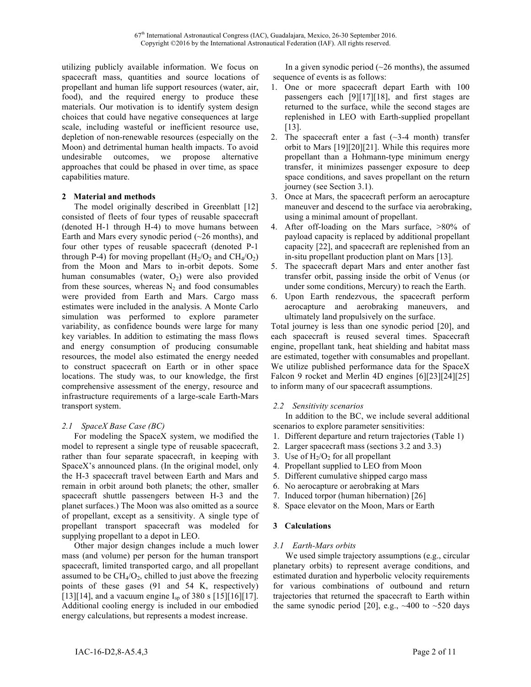utilizing publicly available information. We focus on spacecraft mass, quantities and source locations of propellant and human life support resources (water, air, food), and the required energy to produce these materials. Our motivation is to identify system design choices that could have negative consequences at large scale, including wasteful or inefficient resource use, depletion of non-renewable resources (especially on the Moon) and detrimental human health impacts. To avoid undesirable outcomes, we propose alternative approaches that could be phased in over time, as space capabilities mature.

### **2 Material and methods**

The model originally described in Greenblatt [12] consisted of fleets of four types of reusable spacecraft (denoted H-1 through H-4) to move humans between Earth and Mars every synodic period  $(\sim 26 \text{ months})$ , and four other types of reusable spacecraft (denoted P-1 through P-4) for moving propellant  $(H_2/O_2)$  and  $CH_4/O_2$ from the Moon and Mars to in-orbit depots. Some human consumables (water,  $O_2$ ) were also provided from these sources, whereas  $N_2$  and food consumables were provided from Earth and Mars. Cargo mass estimates were included in the analysis. A Monte Carlo simulation was performed to explore parameter variability, as confidence bounds were large for many key variables. In addition to estimating the mass flows and energy consumption of producing consumable resources, the model also estimated the energy needed to construct spacecraft on Earth or in other space locations. The study was, to our knowledge, the first comprehensive assessment of the energy, resource and infrastructure requirements of a large-scale Earth-Mars transport system.

# *2.1 SpaceX Base Case (BC)*

For modeling the SpaceX system, we modified the model to represent a single type of reusable spacecraft, rather than four separate spacecraft, in keeping with SpaceX's announced plans. (In the original model, only the H-3 spacecraft travel between Earth and Mars and remain in orbit around both planets; the other, smaller spacecraft shuttle passengers between H-3 and the planet surfaces.) The Moon was also omitted as a source of propellant, except as a sensitivity. A single type of propellant transport spacecraft was modeled for supplying propellant to a depot in LEO.

Other major design changes include a much lower mass (and volume) per person for the human transport spacecraft, limited transported cargo, and all propellant assumed to be  $CH_4/O_2$ , chilled to just above the freezing points of these gases (91 and 54 K, respectively) [13][14], and a vacuum engine  $I_{sp}$  of 380 s [15][16][17]. Additional cooling energy is included in our embodied energy calculations, but represents a modest increase.

In a given synodic period  $(-26 \text{ months})$ , the assumed sequence of events is as follows:

- 1. One or more spacecraft depart Earth with 100 passengers each [9][17][18], and first stages are returned to the surface, while the second stages are replenished in LEO with Earth-supplied propellant [13].
- 2. The spacecraft enter a fast  $(\sim]3-4$  month) transfer orbit to Mars [19][20][21]. While this requires more propellant than a Hohmann-type minimum energy transfer, it minimizes passenger exposure to deep space conditions, and saves propellant on the return journey (see Section 3.1).
- 3. Once at Mars, the spacecraft perform an aerocapture maneuver and descend to the surface via aerobraking, using a minimal amount of propellant.
- 4. After off-loading on the Mars surface, >80% of payload capacity is replaced by additional propellant capacity [22], and spacecraft are replenished from an in-situ propellant production plant on Mars [13].
- 5. The spacecraft depart Mars and enter another fast transfer orbit, passing inside the orbit of Venus (or under some conditions, Mercury) to reach the Earth.
- 6. Upon Earth rendezvous, the spacecraft perform aerocapture and aerobraking maneuvers, and ultimately land propulsively on the surface.

Total journey is less than one synodic period [20], and each spacecraft is reused several times. Spacecraft engine, propellant tank, heat shielding and habitat mass are estimated, together with consumables and propellant. We utilize published performance data for the SpaceX Falcon 9 rocket and Merlin 4D engines [6][23][24][25] to inform many of our spacecraft assumptions.

# *2.2 Sensitivity scenarios*

In addition to the BC, we include several additional scenarios to explore parameter sensitivities:

- 1. Different departure and return trajectories (Table 1)
- 2. Larger spacecraft mass (sections 3.2 and 3.3)
- 3. Use of  $H_2/O_2$  for all propellant
- 4. Propellant supplied to LEO from Moon
- 5. Different cumulative shipped cargo mass
- 6. No aerocapture or aerobraking at Mars
- 7. Induced torpor (human hibernation) [26]
- 8. Space elevator on the Moon, Mars or Earth

# **3 Calculations**

# *3.1 Earth-Mars orbits*

We used simple trajectory assumptions (e.g., circular planetary orbits) to represent average conditions, and estimated duration and hyperbolic velocity requirements for various combinations of outbound and return trajectories that returned the spacecraft to Earth within the same synodic period [20], e.g.,  $~400$  to  $~520$  days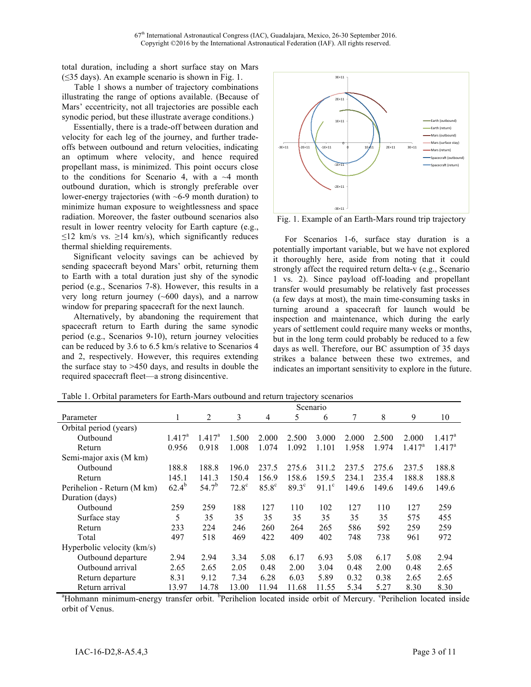total duration, including a short surface stay on Mars (≤35 days). An example scenario is shown in Fig. 1.

Table 1 shows a number of trajectory combinations illustrating the range of options available. (Because of Mars' eccentricity, not all trajectories are possible each synodic period, but these illustrate average conditions.)

Essentially, there is a trade-off between duration and velocity for each leg of the journey, and further tradeoffs between outbound and return velocities, indicating an optimum where velocity, and hence required propellant mass, is minimized. This point occurs close to the conditions for Scenario 4, with a  $\sim$ 4 month outbound duration, which is strongly preferable over lower-energy trajectories (with  $\sim$  6-9 month duration) to minimize human exposure to weightlessness and space radiation. Moreover, the faster outbound scenarios also result in lower reentry velocity for Earth capture (e.g.,  $\leq$ 12 km/s vs.  $\geq$ 14 km/s), which significantly reduces thermal shielding requirements.

Significant velocity savings can be achieved by sending spacecraft beyond Mars' orbit, returning them to Earth with a total duration just shy of the synodic period (e.g., Scenarios 7-8). However, this results in a very long return journey (~600 days), and a narrow window for preparing spacecraft for the next launch.

Alternatively, by abandoning the requirement that spacecraft return to Earth during the same synodic period (e.g., Scenarios 9-10), return journey velocities can be reduced by 3.6 to 6.5 km/s relative to Scenarios 4 and 2, respectively. However, this requires extending the surface stay to >450 days, and results in double the required spacecraft fleet—a strong disincentive.



Fig. 1. Example of an Earth-Mars round trip trajectory

For Scenarios 1-6, surface stay duration is a potentially important variable, but we have not explored it thoroughly here, aside from noting that it could strongly affect the required return delta-v (e.g., Scenario 1 vs. 2). Since payload off-loading and propellant transfer would presumably be relatively fast processes (a few days at most), the main time-consuming tasks in turning around a spacecraft for launch would be inspection and maintenance, which during the early years of settlement could require many weeks or months, but in the long term could probably be reduced to a few days as well. Therefore, our BC assumption of 35 days strikes a balance between these two extremes, and indicates an important sensitivity to explore in the future.

|                            | Scenario           |                    |              |                   |              |              |       |       |                 |           |
|----------------------------|--------------------|--------------------|--------------|-------------------|--------------|--------------|-------|-------|-----------------|-----------|
| Parameter                  | 1                  | 2                  | 3            | 4                 | 5            | 6            | 7     | 8     | 9               | 10        |
| Orbital period (years)     |                    |                    |              |                   |              |              |       |       |                 |           |
| Outbound                   | $1.417^{\text{a}}$ | $1.417^{\text{a}}$ | 1.500        | 2.000             | 2.500        | 3.000        | 2.000 | 2.500 | 2.000           | $1.417^a$ |
| Return                     | 0.956              | 0.918              | 1.008        | 1.074             | 1.092        | 1.101        | 1.958 | 1.974 | $1.417^{\rm a}$ | $1.417^a$ |
| Semi-major axis (M km)     |                    |                    |              |                   |              |              |       |       |                 |           |
| Outbound                   | 188.8              | 188.8              | 196.0        | 237.5             | 275.6        | 311.2        | 237.5 | 275.6 | 237.5           | 188.8     |
| Return                     | 145.1              | 141.3              | 150.4        | 156.9             | 158.6        | 159.5        | 234.1 | 235.4 | 188.8           | 188.8     |
| Perihelion - Return (M km) | $62.4^{b}$         | $54.7^{b}$         | $72.8^\circ$ | 85.8 <sup>c</sup> | $89.3^\circ$ | $91.1^\circ$ | 149.6 | 149.6 | 149.6           | 149.6     |
| Duration (days)            |                    |                    |              |                   |              |              |       |       |                 |           |
| Outbound                   | 259                | 259                | 188          | 127               | 110          | 102          | 127   | 110   | 127             | 259       |
| Surface stay               | 5                  | 35                 | 35           | 35                | 35           | 35           | 35    | 35    | 575             | 455       |
| Return                     | 233                | 224                | 246          | 260               | 264          | 265          | 586   | 592   | 259             | 259       |
| Total                      | 497                | 518                | 469          | 422               | 409          | 402          | 748   | 738   | 961             | 972       |
| Hyperbolic velocity (km/s) |                    |                    |              |                   |              |              |       |       |                 |           |
| Outbound departure         | 2.94               | 2.94               | 3.34         | 5.08              | 6.17         | 6.93         | 5.08  | 6.17  | 5.08            | 2.94      |
| Outbound arrival           | 2.65               | 2.65               | 2.05         | 0.48              | 2.00         | 3.04         | 0.48  | 2.00  | 0.48            | 2.65      |
| Return departure           | 8.31               | 9.12               | 7.34         | 6.28              | 6.03         | 5.89         | 0.32  | 0.38  | 2.65            | 2.65      |
| Return arrival             | 13.97              | 14.78              | 13.00        | 11.94             | 11.68        | 11.55        | 5.34  | 5.27  | 8.30            | 8.30      |

Table 1. Orbital parameters for Earth-Mars outbound and return trajectory scenarios

<sup>a</sup>Hohmann minimum-energy transfer orbit. <sup>b</sup>Perihelion located inside orbit of Mercury. <sup>c</sup>Perihelion located inside orbit of Venus.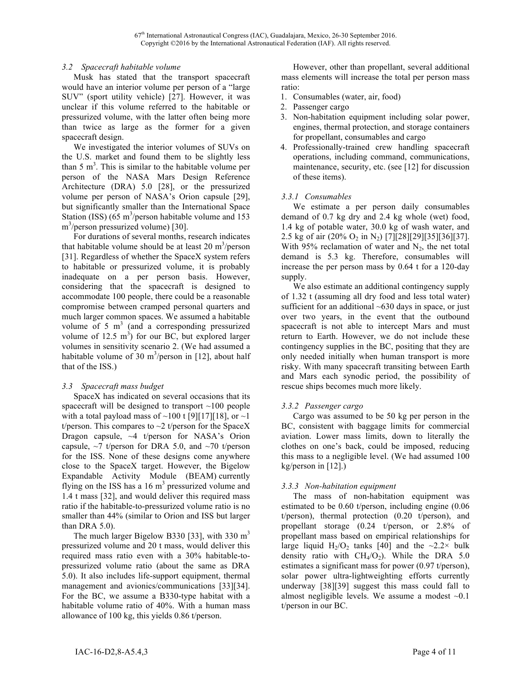# *3.2 Spacecraft habitable volume*

Musk has stated that the transport spacecraft would have an interior volume per person of a "large SUV" (sport utility vehicle) [27]. However, it was unclear if this volume referred to the habitable or pressurized volume, with the latter often being more than twice as large as the former for a given spacecraft design.

We investigated the interior volumes of SUVs on the U.S. market and found them to be slightly less than  $5 \text{ m}^3$ . This is similar to the habitable volume per person of the NASA Mars Design Reference Architecture (DRA) 5.0 [28], or the pressurized volume per person of NASA's Orion capsule [29], but significantly smaller than the International Space Station (ISS)  $(65 \text{ m}^3/\text{person}$  habitable volume and 153 m<sup>3</sup>/person pressurized volume) [30].

For durations of several months, research indicates that habitable volume should be at least  $20 \text{ m}^3/\text{person}$ [31]. Regardless of whether the SpaceX system refers to habitable or pressurized volume, it is probably inadequate on a per person basis. However, considering that the spacecraft is designed to accommodate 100 people, there could be a reasonable compromise between cramped personal quarters and much larger common spaces. We assumed a habitable volume of 5  $m<sup>3</sup>$  (and a corresponding pressurized volume of 12.5  $m^3$ ) for our BC, but explored larger volumes in sensitivity scenario 2. (We had assumed a habitable volume of 30  $m^3$ /person in [12], about half that of the ISS.)

# *3.3 Spacecraft mass budget*

SpaceX has indicated on several occasions that its spacecraft will be designed to transport ~100 people with a total payload mass of  $\sim$ 100 t [9][17][18], or  $\sim$ 1 t/person. This compares to  $\sim$ 2 t/person for the SpaceX Dragon capsule,  $\sim$ 4 t/person for NASA's Orion capsule,  $\sim$ 7 t/person for DRA 5.0, and  $\sim$ 70 t/person for the ISS. None of these designs come anywhere close to the SpaceX target. However, the Bigelow Expandable Activity Module (BEAM) currently flying on the ISS has a  $16 \text{ m}^3$  pressurized volume and 1.4 t mass [32], and would deliver this required mass ratio if the habitable-to-pressurized volume ratio is no smaller than 44% (similar to Orion and ISS but larger than DRA 5.0).

The much larger Bigelow B330 [33], with  $330 \text{ m}^3$ pressurized volume and 20 t mass, would deliver this required mass ratio even with a 30% habitable-topressurized volume ratio (about the same as DRA 5.0). It also includes life-support equipment, thermal management and avionics/communications [33][34]. For the BC, we assume a B330-type habitat with a habitable volume ratio of 40%. With a human mass allowance of 100 kg, this yields 0.86 t/person.

However, other than propellant, several additional mass elements will increase the total per person mass ratio:

- 1. Consumables (water, air, food)
- 2. Passenger cargo
- 3. Non-habitation equipment including solar power, engines, thermal protection, and storage containers for propellant, consumables and cargo
- 4. Professionally-trained crew handling spacecraft operations, including command, communications, maintenance, security, etc. (see [12] for discussion of these items).

# *3.3.1 Consumables*

We estimate a per person daily consumables demand of 0.7 kg dry and 2.4 kg whole (wet) food, 1.4 kg of potable water, 30.0 kg of wash water, and 2.5 kg of air (20%  $O_2$  in N<sub>2</sub>) [7][28][29][35][36][37]. With 95% reclamation of water and  $N_2$ , the net total demand is 5.3 kg. Therefore, consumables will increase the per person mass by 0.64 t for a 120-day supply.

We also estimate an additional contingency supply of 1.32 t (assuming all dry food and less total water) sufficient for an additional  $~630$  days in space, or just over two years, in the event that the outbound spacecraft is not able to intercept Mars and must return to Earth. However, we do not include these contingency supplies in the BC, positing that they are only needed initially when human transport is more risky. With many spacecraft transiting between Earth and Mars each synodic period, the possibility of rescue ships becomes much more likely.

# *3.3.2 Passenger cargo*

Cargo was assumed to be 50 kg per person in the BC, consistent with baggage limits for commercial aviation. Lower mass limits, down to literally the clothes on one's back, could be imposed, reducing this mass to a negligible level. (We had assumed 100 kg/person in [12].)

# *3.3.3 Non-habitation equipment*

The mass of non-habitation equipment was estimated to be 0.60 t/person, including engine (0.06 t/person), thermal protection (0.20 t/person), and propellant storage (0.24 t/person, or 2.8% of propellant mass based on empirical relationships for large liquid  $H_2/O_2$  tanks [40] and the  $\sim 2.2 \times$  bulk density ratio with  $CH<sub>4</sub>/O<sub>2</sub>$ ). While the DRA 5.0 estimates a significant mass for power (0.97 t/person), solar power ultra-lightweighting efforts currently underway [38][39] suggest this mass could fall to almost negligible levels. We assume a modest  $\sim 0.1$ t/person in our BC.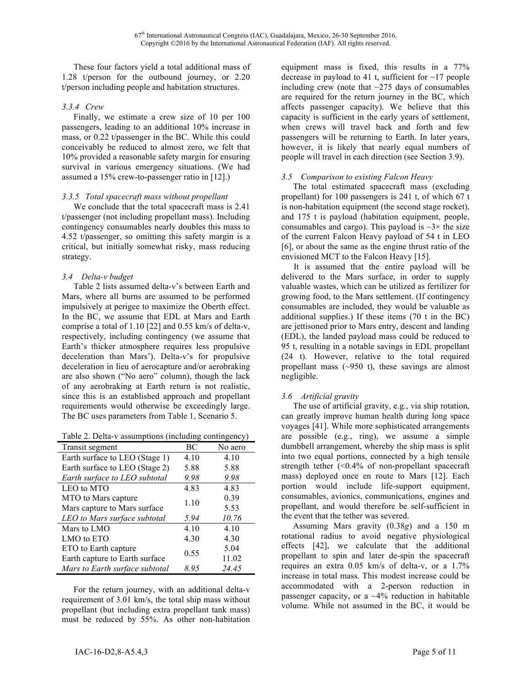These four factors yield a total additional mass of 1.28 t/person for the outbound journey, or 2.20 t/person including people and habitation structures.

# *3.3.4 Crew*

Finally, we estimate a crew size of 10 per 100 passengers, leading to an additional 10% increase in mass, or 0.22 t/passenger in the BC. While this could conceivably be reduced to almost zero, we felt that 10% provided a reasonable safety margin for ensuring survival in various emergency situations. (We had assumed a 15% crew-to-passenger ratio in [12].)

# *3.3.5 Total spacecraft mass without propellant*

We conclude that the total spacecraft mass is 2.41 t/passenger (not including propellant mass). Including contingency consumables nearly doubles this mass to 4.52 t/passenger, so omitting this safety margin is a critical, but initially somewhat risky, mass reducing strategy.

# *3.4 Delta-v budget*

Table 2 lists assumed delta-v's between Earth and Mars, where all burns are assumed to be performed impulsively at perigee to maximize the Oberth effect. In the BC, we assume that EDL at Mars and Earth comprise a total of 1.10 [22] and 0.55 km/s of delta-v, respectively, including contingency (we assume that Earth's thicker atmosphere requires less propulsive deceleration than Mars'). Delta-v's for propulsive deceleration in lieu of aerocapture and/or aerobraking are also shown ("No aero" column), though the lack of any aerobraking at Earth return is not realistic, since this is an established approach and propellant requirements would otherwise be exceedingly large. The BC uses parameters from Table 1, Scenario 5.

Table 2. Delta-v assumptions (including contingency)

| Transit segment                | BC   | No aero |
|--------------------------------|------|---------|
| Earth surface to LEO (Stage 1) | 4.10 | 4.10    |
| Earth surface to LEO (Stage 2) | 5.88 | 5.88    |
| Earth surface to LEO subtotal  | 9.98 | 9.98    |
| LEO to MTO                     | 4.83 | 4.83    |
| MTO to Mars capture            | 1.10 | 0.39    |
| Mars capture to Mars surface   |      | 5.53    |
| LEO to Mars surface subtotal   | 5.94 | 10.76   |
| Mars to LMO                    | 4.10 | 4.10    |
| LMO to ETO                     | 4.30 | 4.30    |
| ETO to Earth capture           | 0.55 | 5.04    |
| Earth capture to Earth surface |      | 11.02   |
| Mars to Earth surface subtotal | 8.95 | 24.45   |

For the return journey, with an additional delta-v requirement of 3.01 km/s, the total ship mass without propellant (but including extra propellant tank mass) must be reduced by 55%. As other non-habitation

equipment mass is fixed, this results in a 77% decrease in payload to 41 t, sufficient for  $\sim$ 17 people including crew (note that  $\sim$ 275 days of consumables are required for the return journey in the BC, which affects passenger capacity). We believe that this capacity is sufficient in the early years of settlement, when crews will travel back and forth and few passengers will be returning to Earth. In later years, however, it is likely that nearly equal numbers of people will travel in each direction (see Section 3.9).

# *3.5 Comparison to existing Falcon Heavy*

The total estimated spacecraft mass (excluding propellant) for 100 passengers is 241 t, of which 67 t is non-habitation equipment (the second stage rocket), and 175 t is payload (habitation equipment, people, consumables and cargo). This payload is  $\sim 3 \times$  the size of the current Falcon Heavy payload of 54 t in LEO [6], or about the same as the engine thrust ratio of the envisioned MCT to the Falcon Heavy [15].

It is assumed that the entire payload will be delivered to the Mars surface, in order to supply valuable wastes, which can be utilized as fertilizer for growing food, to the Mars settlement. (If contingency consumables are included, they would be valuable as additional supplies.) If these items (70 t in the BC) are jettisoned prior to Mars entry, descent and landing (EDL), the landed payload mass could be reduced to 95 t, resulting in a notable savings in EDL propellant (24 t). However, relative to the total required propellant mass  $(-950 \text{ t})$ , these savings are almost negligible.

# *3.6 Artificial gravity*

The use of artificial gravity, e.g., via ship rotation, can greatly improve human health during long space voyages [41]. While more sophisticated arrangements are possible (e.g., ring), we assume a simple dumbbell arrangement, whereby the ship mass is split into two equal portions, connected by a high tensile strength tether  $( $0.4\%$  of non-propellant spacecraft)$ mass) deployed once en route to Mars [12]. Each portion would include life-support equipment, consumables, avionics, communications, engines and propellant, and would therefore be self-sufficient in the event that the tether was severed.

Assuming Mars gravity (0.38*g*) and a 150 m rotational radius to avoid negative physiological effects [42], we calculate that the additional propellant to spin and later de-spin the spacecraft requires an extra 0.05 km/s of delta-v, or a 1.7% increase in total mass. This modest increase could be accommodated with a 2-person reduction in passenger capacity, or a ~4% reduction in habitable volume. While not assumed in the BC, it would be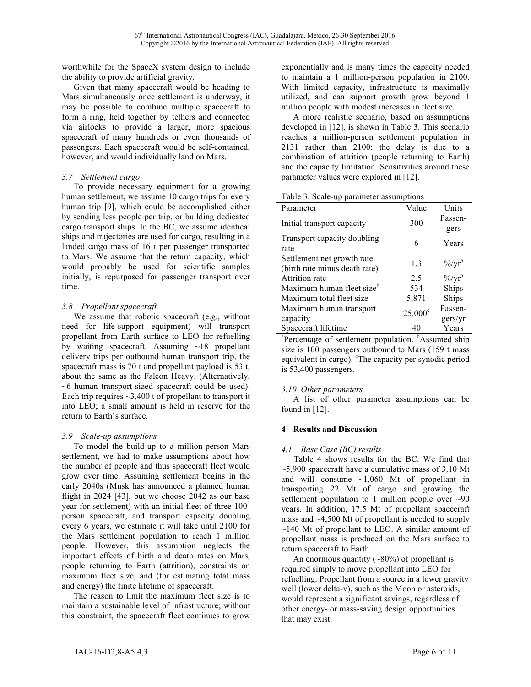worthwhile for the SpaceX system design to include the ability to provide artificial gravity.

Given that many spacecraft would be heading to Mars simultaneously once settlement is underway, it may be possible to combine multiple spacecraft to form a ring, held together by tethers and connected via airlocks to provide a larger, more spacious spacecraft of many hundreds or even thousands of passengers. Each spacecraft would be self-contained, however, and would individually land on Mars.

# *3.7 Settlement cargo*

To provide necessary equipment for a growing human settlement, we assume 10 cargo trips for every human trip [9], which could be accomplished either by sending less people per trip, or building dedicated cargo transport ships. In the BC, we assume identical ships and trajectories are used for cargo, resulting in a landed cargo mass of 16 t per passenger transported to Mars. We assume that the return capacity, which would probably be used for scientific samples initially, is repurposed for passenger transport over time.

# *3.8 Propellant spacecraft*

We assume that robotic spacecraft (e.g., without need for life-support equipment) will transport propellant from Earth surface to LEO for refuelling by waiting spacecraft. Assuming  $\sim$ 18 propellant delivery trips per outbound human transport trip, the spacecraft mass is 70 t and propellant payload is 53 t, about the same as the Falcon Heavy. (Alternatively, ~6 human transport-sized spacecraft could be used). Each trip requires  $\sim$ 3,400 t of propellant to transport it into LEO; a small amount is held in reserve for the return to Earth's surface.

# *3.9 Scale-up assumptions*

To model the build-up to a million-person Mars settlement, we had to make assumptions about how the number of people and thus spacecraft fleet would grow over time. Assuming settlement begins in the early 2040s (Musk has announced a planned human flight in 2024 [43], but we choose 2042 as our base year for settlement) with an initial fleet of three 100 person spacecraft, and transport capacity doubling every 6 years, we estimate it will take until 2100 for the Mars settlement population to reach 1 million people. However, this assumption neglects the important effects of birth and death rates on Mars, people returning to Earth (attrition), constraints on maximum fleet size, and (for estimating total mass and energy) the finite lifetime of spacecraft.

The reason to limit the maximum fleet size is to maintain a sustainable level of infrastructure; without this constraint, the spacecraft fleet continues to grow exponentially and is many times the capacity needed to maintain a 1 million-person population in 2100. With limited capacity, infrastructure is maximally utilized, and can support growth grow beyond 1 million people with modest increases in fleet size.

A more realistic scenario, based on assumptions developed in [12], is shown in Table 3. This scenario reaches a million-person settlement population in 2131 rather than 2100; the delay is due to a combination of attrition (people returning to Earth) and the capacity limitation. Sensitivities around these parameter values were explored in [12].

| Parameter                                                   | Value            | Units                          |
|-------------------------------------------------------------|------------------|--------------------------------|
| Initial transport capacity                                  | 300              | Passen-<br>gers                |
| Transport capacity doubling<br>rate                         | 6                | Years                          |
| Settlement net growth rate<br>(birth rate minus death rate) | 1.3              | $\frac{9}{9}$ /yr <sup>a</sup> |
| Attrition rate                                              | 2.5              | $\frac{9}{9}$ /yr <sup>a</sup> |
| Maximum human fleet size <sup>b</sup>                       | 534              | Ships                          |
| Maximum total fleet size                                    | 5,871            | Ships                          |
| Maximum human transport                                     | $25,000^{\circ}$ | Passen-                        |
| capacity                                                    |                  | gers/yr                        |
| Spacecraft lifetime                                         | 40               | Years                          |

<sup>a</sup>Percentage of settlement population. <sup>b</sup>Assumed ship size is 100 passengers outbound to Mars (159 t mass equivalent in cargo). <sup>c</sup>The capacity per synodic period is 53,400 passengers.

# *3.10 Other parameters*

A list of other parameter assumptions can be found in [12].

# **4 Results and Discussion**

# *4.1 Base Case (BC) results*

Table 4 shows results for the BC. We find that  $\sim$ 5,900 spacecraft have a cumulative mass of 3.10 Mt and will consume  $\sim$ 1,060 Mt of propellant in transporting 22 Mt of cargo and growing the settlement population to 1 million people over ~90 years. In addition, 17.5 Mt of propellant spacecraft mass and ~4,500 Mt of propellant is needed to supply  $\sim$ 140 Mt of propellant to LEO. A similar amount of propellant mass is produced on the Mars surface to return spacecraft to Earth.

An enormous quantity  $(\sim 80\%)$  of propellant is required simply to move propellant into LEO for refuelling. Propellant from a source in a lower gravity well (lower delta-v), such as the Moon or asteroids, would represent a significant savings, regardless of other energy- or mass-saving design opportunities that may exist.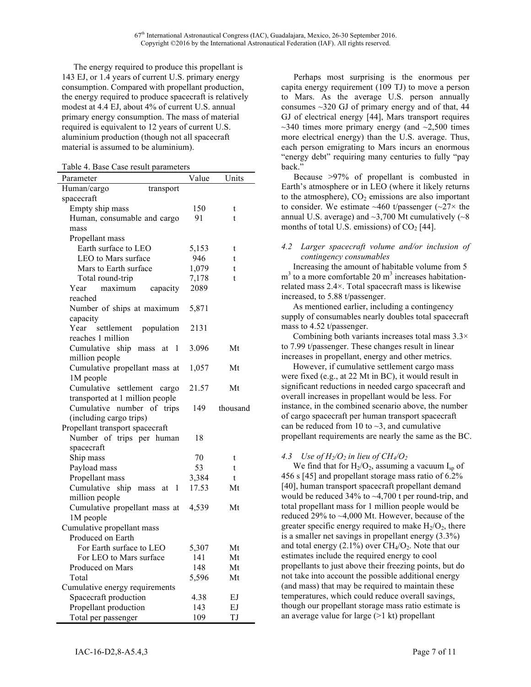The energy required to produce this propellant is 143 EJ, or 1.4 years of current U.S. primary energy consumption. Compared with propellant production, the energy required to produce spacecraft is relatively modest at 4.4 EJ, about 4% of current U.S. annual primary energy consumption. The mass of material required is equivalent to 12 years of current U.S. aluminium production (though not all spacecraft material is assumed to be aluminium).

|  |  |  |  |  | Table 4. Base Case result parameters |
|--|--|--|--|--|--------------------------------------|
|--|--|--|--|--|--------------------------------------|

| Parameter                                                    | Value | Units    |
|--------------------------------------------------------------|-------|----------|
| Human/cargo<br>transport                                     |       |          |
| spacecraft                                                   |       |          |
| Empty ship mass                                              | 150   | t        |
| Human, consumable and cargo                                  | 91    | t        |
| mass                                                         |       |          |
| Propellant mass                                              |       |          |
| Earth surface to LEO                                         | 5,153 | t        |
| LEO to Mars surface                                          | 946   | t        |
| Mars to Earth surface                                        | 1,079 | t        |
| Total round-trip                                             | 7,178 | t        |
| Year<br>maximum<br>capacity                                  | 2089  |          |
| reached                                                      |       |          |
| Number of ships at maximum                                   | 5,871 |          |
| capacity                                                     |       |          |
| population<br>Year<br>settlement                             | 2131  |          |
| reaches 1 million                                            |       |          |
| Cumulative<br>ship<br>1<br>mass<br>at                        | 3.096 | Mt       |
| million people                                               |       |          |
| Cumulative propellant mass at                                | 1,057 | Mt       |
| 1M people                                                    |       |          |
| Cumulative<br>settlement<br>cargo                            | 21.57 | Mt       |
| transported at 1 million people                              |       |          |
| Cumulative number<br>of trips                                | 149   | thousand |
| (including cargo trips)                                      |       |          |
| Propellant transport spacecraft<br>Number of trips per human | 18    |          |
| spacecraft                                                   |       |          |
| Ship mass                                                    | 70    | t        |
| Payload mass                                                 | 53    | t        |
| Propellant mass                                              | 3,384 | t        |
| Cumulative<br>ship<br>1                                      | 17.53 | Mt       |
| mass<br>at<br>million people                                 |       |          |
| Cumulative propellant mass at                                | 4,539 | Mt       |
| 1M people                                                    |       |          |
| Cumulative propellant mass                                   |       |          |
| Produced on Earth                                            |       |          |
| For Earth surface to LEO                                     | 5,307 | Mt       |
| For LEO to Mars surface                                      | 141   | Mt       |
| Produced on Mars                                             | 148   | Mt       |
| Total                                                        | 5,596 | Mt       |
| Cumulative energy requirements                               |       |          |
| Spacecraft production                                        | 4.38  | EJ       |
| Propellant production                                        | 143   | EJ       |
| Total per passenger                                          | 109   | TJ       |
|                                                              |       |          |

Perhaps most surprising is the enormous per capita energy requirement (109 TJ) to move a person to Mars. As the average U.S. person annually consumes  $\sim$ 320 GJ of primary energy and of that, 44 GJ of electrical energy [44], Mars transport requires  $\sim$ 340 times more primary energy (and  $\sim$ 2,500 times more electrical energy) than the U.S. average. Thus, each person emigrating to Mars incurs an enormous "energy debt" requiring many centuries to fully "pay back."

Because >97% of propellant is combusted in Earth's atmosphere or in LEO (where it likely returns to the atmosphere),  $CO<sub>2</sub>$  emissions are also important to consider. We estimate  $~460$  t/passenger ( $~27\times$  the annual U.S. average) and  $\sim$ 3,700 Mt cumulatively ( $\sim$ 8 months of total U.S. emissions) of  $CO<sub>2</sub>$  [44].

### *4.2 Larger spacecraft volume and/or inclusion of contingency consumables*

Increasing the amount of habitable volume from 5  $m<sup>3</sup>$  to a more comfortable 20  $m<sup>3</sup>$  increases habitationrelated mass 2.4×. Total spacecraft mass is likewise increased, to 5.88 t/passenger.

As mentioned earlier, including a contingency supply of consumables nearly doubles total spacecraft mass to 4.52 t/passenger.

Combining both variants increases total mass  $3.3\times$ to 7.99 t/passenger. These changes result in linear increases in propellant, energy and other metrics.

However, if cumulative settlement cargo mass were fixed (e.g., at 22 Mt in BC), it would result in significant reductions in needed cargo spacecraft and overall increases in propellant would be less. For instance, in the combined scenario above, the number of cargo spacecraft per human transport spacecraft can be reduced from 10 to  $\sim$ 3, and cumulative propellant requirements are nearly the same as the BC.

# 4.3 *Use of*  $H_2/O_2$  *in lieu of CH<sub>4</sub>/O<sub>2</sub>*

We find that for  $H_2/O_2$ , assuming a vacuum  $I_{sp}$  of 456 s [45] and propellant storage mass ratio of 6.2% [40], human transport spacecraft propellant demand would be reduced 34% to ~4,700 t per round-trip, and total propellant mass for 1 million people would be reduced 29% to ~4,000 Mt. However, because of the greater specific energy required to make  $H_2/O_2$ , there is a smaller net savings in propellant energy (3.3%) and total energy  $(2.1\%)$  over  $CH<sub>4</sub>/O<sub>2</sub>$ . Note that our estimates include the required energy to cool propellants to just above their freezing points, but do not take into account the possible additional energy (and mass) that may be required to maintain these temperatures, which could reduce overall savings, though our propellant storage mass ratio estimate is an average value for large  $(>1 \text{ kt})$  propellant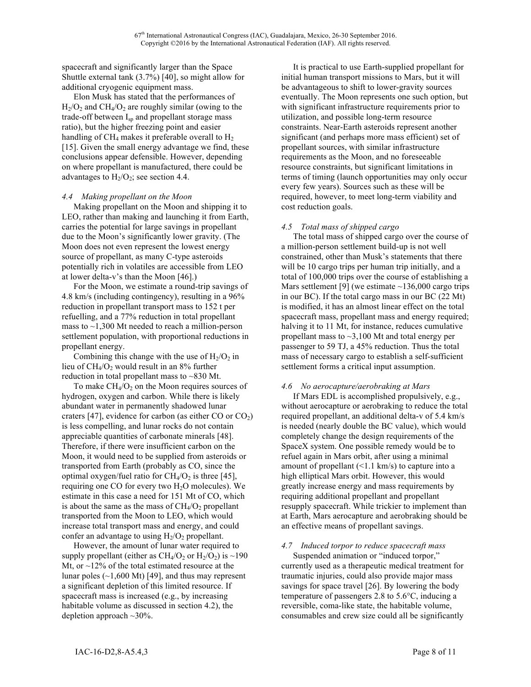spacecraft and significantly larger than the Space Shuttle external tank (3.7%) [40], so might allow for additional cryogenic equipment mass.

Elon Musk has stated that the performances of  $H<sub>2</sub>/O<sub>2</sub>$  and CH<sub>4</sub>/O<sub>2</sub> are roughly similar (owing to the trade-off between I<sub>sp</sub> and propellant storage mass ratio), but the higher freezing point and easier handling of  $CH_4$  makes it preferable overall to  $H_2$ [15]. Given the small energy advantage we find, these conclusions appear defensible. However, depending on where propellant is manufactured, there could be advantages to  $H_2/O_2$ ; see section 4.4.

### *4.4 Making propellant on the Moon*

Making propellant on the Moon and shipping it to LEO, rather than making and launching it from Earth, carries the potential for large savings in propellant due to the Moon's significantly lower gravity. (The Moon does not even represent the lowest energy source of propellant, as many C-type asteroids potentially rich in volatiles are accessible from LEO at lower delta-v's than the Moon [46].)

For the Moon, we estimate a round-trip savings of 4.8 km/s (including contingency), resulting in a 96% reduction in propellant transport mass to 152 t per refuelling, and a 77% reduction in total propellant mass to  $\sim$ 1,300 Mt needed to reach a million-person settlement population, with proportional reductions in propellant energy.

Combining this change with the use of  $H_2/O_2$  in lieu of  $CH<sub>4</sub>/O<sub>2</sub>$  would result in an 8% further reduction in total propellant mass to ~830 Mt.

To make  $CH_4/O_2$  on the Moon requires sources of hydrogen, oxygen and carbon. While there is likely abundant water in permanently shadowed lunar craters [47], evidence for carbon (as either CO or  $CO<sub>2</sub>$ ) is less compelling, and lunar rocks do not contain appreciable quantities of carbonate minerals [48]. Therefore, if there were insufficient carbon on the Moon, it would need to be supplied from asteroids or transported from Earth (probably as CO, since the optimal oxygen/fuel ratio for  $CH_4/O_2$  is three [45], requiring one CO for every two  $H_2O$  molecules). We estimate in this case a need for 151 Mt of CO, which is about the same as the mass of  $CH<sub>4</sub>/O<sub>2</sub>$  propellant transported from the Moon to LEO, which would increase total transport mass and energy, and could confer an advantage to using  $H_2/O_2$  propellant.

However, the amount of lunar water required to supply propellant (either as  $CH_4/O_2$  or  $H_2/O_2$ ) is ~190 Mt, or  $\sim$ 12% of the total estimated resource at the lunar poles  $(\sim 1,600 \text{ Mt})$  [49], and thus may represent a significant depletion of this limited resource. If spacecraft mass is increased (e.g., by increasing habitable volume as discussed in section 4.2), the depletion approach  $\sim$ 30%.

It is practical to use Earth-supplied propellant for initial human transport missions to Mars, but it will be advantageous to shift to lower-gravity sources eventually. The Moon represents one such option, but with significant infrastructure requirements prior to utilization, and possible long-term resource constraints. Near-Earth asteroids represent another significant (and perhaps more mass efficient) set of propellant sources, with similar infrastructure requirements as the Moon, and no foreseeable resource constraints, but significant limitations in terms of timing (launch opportunities may only occur every few years). Sources such as these will be required, however, to meet long-term viability and cost reduction goals.

# *4.5 Total mass of shipped cargo*

The total mass of shipped cargo over the course of a million-person settlement build-up is not well constrained, other than Musk's statements that there will be 10 cargo trips per human trip initially, and a total of 100,000 trips over the course of establishing a Mars settlement [9] (we estimate  $\sim$ 136,000 cargo trips in our BC). If the total cargo mass in our BC (22 Mt) is modified, it has an almost linear effect on the total spacecraft mass, propellant mass and energy required; halving it to 11 Mt, for instance, reduces cumulative propellant mass to  $\sim$ 3,100 Mt and total energy per passenger to 59 TJ, a 45% reduction. Thus the total mass of necessary cargo to establish a self-sufficient settlement forms a critical input assumption.

# *4.6 No aerocapture/aerobraking at Mars*

If Mars EDL is accomplished propulsively, e.g., without aerocapture or aerobraking to reduce the total required propellant, an additional delta-v of 5.4 km/s is needed (nearly double the BC value), which would completely change the design requirements of the SpaceX system. One possible remedy would be to refuel again in Mars orbit, after using a minimal amount of propellant  $(\leq 1.1 \text{ km/s})$  to capture into a high elliptical Mars orbit. However, this would greatly increase energy and mass requirements by requiring additional propellant and propellant resupply spacecraft. While trickier to implement than at Earth, Mars aerocapture and aerobraking should be an effective means of propellant savings.

# *4.7 Induced torpor to reduce spacecraft mass*

Suspended animation or "induced torpor," currently used as a therapeutic medical treatment for traumatic injuries, could also provide major mass savings for space travel [26]. By lowering the body temperature of passengers 2.8 to 5.6°C, inducing a reversible, coma-like state, the habitable volume, consumables and crew size could all be significantly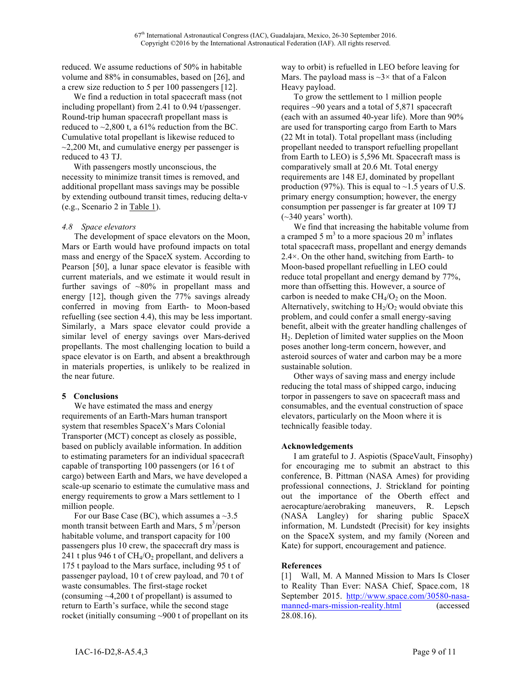reduced. We assume reductions of 50% in habitable volume and 88% in consumables, based on [26], and a crew size reduction to 5 per 100 passengers [12].

We find a reduction in total spacecraft mass (not including propellant) from 2.41 to 0.94 t/passenger. Round-trip human spacecraft propellant mass is reduced to  $\sim$ 2,800 t, a 61% reduction from the BC. Cumulative total propellant is likewise reduced to  $\sim$ 2,200 Mt, and cumulative energy per passenger is reduced to 43 TJ.

With passengers mostly unconscious, the necessity to minimize transit times is removed, and additional propellant mass savings may be possible by extending outbound transit times, reducing delta-v (e.g., Scenario 2 in Table 1).

### *4.8 Space elevators*

The development of space elevators on the Moon, Mars or Earth would have profound impacts on total mass and energy of the SpaceX system. According to Pearson [50], a lunar space elevator is feasible with current materials, and we estimate it would result in further savings of ~80% in propellant mass and energy [12], though given the 77% savings already conferred in moving from Earth- to Moon-based refuelling (see section 4.4), this may be less important. Similarly, a Mars space elevator could provide a similar level of energy savings over Mars-derived propellants. The most challenging location to build a space elevator is on Earth, and absent a breakthrough in materials properties, is unlikely to be realized in the near future.

#### **5 Conclusions**

We have estimated the mass and energy requirements of an Earth-Mars human transport system that resembles SpaceX's Mars Colonial Transporter (MCT) concept as closely as possible, based on publicly available information. In addition to estimating parameters for an individual spacecraft capable of transporting 100 passengers (or 16 t of cargo) between Earth and Mars, we have developed a scale-up scenario to estimate the cumulative mass and energy requirements to grow a Mars settlement to 1 million people.

For our Base Case (BC), which assumes a  $\sim$ 3.5 month transit between Earth and Mars,  $5 \text{ m}^3/\text{person}$ habitable volume, and transport capacity for 100 passengers plus 10 crew, the spacecraft dry mass is 241 t plus 946 t of  $CH<sub>4</sub>/O<sub>2</sub>$  propellant, and delivers a 175 t payload to the Mars surface, including 95 t of passenger payload, 10 t of crew payload, and 70 t of waste consumables. The first-stage rocket (consuming ~4,200 t of propellant) is assumed to return to Earth's surface, while the second stage rocket (initially consuming ~900 t of propellant on its way to orbit) is refuelled in LEO before leaving for Mars. The payload mass is  $\sim$ 3 $\times$  that of a Falcon Heavy payload.

To grow the settlement to 1 million people requires  $\sim$ 90 years and a total of 5,871 spacecraft (each with an assumed 40-year life). More than 90% are used for transporting cargo from Earth to Mars (22 Mt in total). Total propellant mass (including propellant needed to transport refuelling propellant from Earth to LEO) is 5,596 Mt. Spacecraft mass is comparatively small at 20.6 Mt. Total energy requirements are 148 EJ, dominated by propellant production (97%). This is equal to  $\sim$ 1.5 years of U.S. primary energy consumption; however, the energy consumption per passenger is far greater at 109 TJ  $(\sim]340$  years' worth).

We find that increasing the habitable volume from a cramped 5  $m<sup>3</sup>$  to a more spacious 20  $m<sup>3</sup>$  inflates total spacecraft mass, propellant and energy demands 2.4×. On the other hand, switching from Earth- to Moon-based propellant refuelling in LEO could reduce total propellant and energy demand by 77%, more than offsetting this. However, a source of carbon is needed to make  $CH<sub>4</sub>/O<sub>2</sub>$  on the Moon. Alternatively, switching to  $H_2/O_2$  would obviate this problem, and could confer a small energy-saving benefit, albeit with the greater handling challenges of H2. Depletion of limited water supplies on the Moon poses another long-term concern, however, and asteroid sources of water and carbon may be a more sustainable solution.

Other ways of saving mass and energy include reducing the total mass of shipped cargo, inducing torpor in passengers to save on spacecraft mass and consumables, and the eventual construction of space elevators, particularly on the Moon where it is technically feasible today.

# **Acknowledgements**

I am grateful to J. Aspiotis (SpaceVault, Finsophy) for encouraging me to submit an abstract to this conference, B. Pittman (NASA Ames) for providing professional connections, J. Strickland for pointing out the importance of the Oberth effect and aerocapture/aerobraking maneuvers, R. Lepsch (NASA Langley) for sharing public SpaceX information, M. Lundstedt (Precisit) for key insights on the SpaceX system, and my family (Noreen and Kate) for support, encouragement and patience.

# **References**

[1] Wall, M. A Manned Mission to Mars Is Closer to Reality Than Ever: NASA Chief, Space.com, 18 September 2015. http://www.space.com/30580-nasamanned-mars-mission-reality.html (accessed 28.08.16).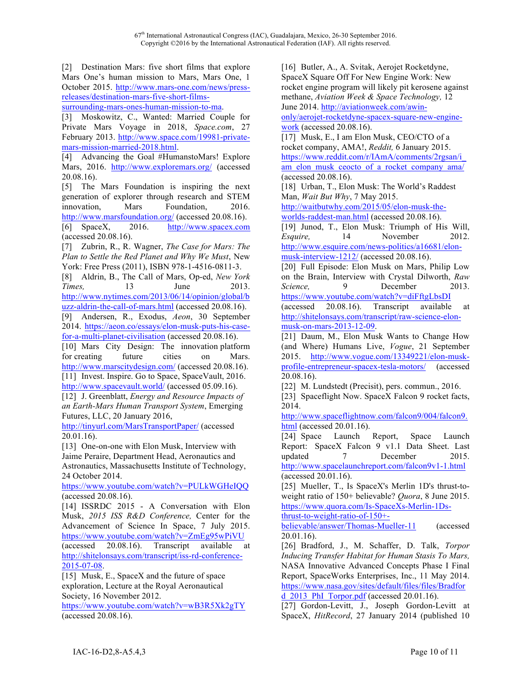[2] Destination Mars: five short films that explore Mars One's human mission to Mars, Mars One, 1 October 2015. http://www.mars-one.com/news/pressreleases/destination-mars-five-short-films-

surrounding-mars-ones-human-mission-to-ma.

[3] Moskowitz, C., Wanted: Married Couple for Private Mars Voyage in 2018, *Space.com*, 27 February 2013. http://www.space.com/19981-privatemars-mission-married-2018.html.

[4] Advancing the Goal #HumanstoMars! Explore Mars, 2016. http://www.exploremars.org/ (accessed 20.08.16).

[5] The Mars Foundation is inspiring the next generation of explorer through research and STEM innovation, Mars Foundation, 2016. http://www.marsfoundation.org/ (accessed 20.08.16).

[6] SpaceX, 2016. http://www.spacex.com (accessed 20.08.16).

[7] Zubrin, R., R. Wagner, *The Case for Mars: The Plan to Settle the Red Planet and Why We Must*, New York: Free Press (2011), ISBN 978-1-4516-0811-3.

[8] Aldrin, B., The Call of Mars, Op-ed, *New York Times,* 13 June 2013. http://www.nytimes.com/2013/06/14/opinion/global/b

uzz-aldrin-the-call-of-mars.html (accessed 20.08.16). [9] Andersen, R., Exodus, *Aeon*, 30 September

2014. https://aeon.co/essays/elon-musk-puts-his-casefor-a-multi-planet-civilisation (accessed 20.08.16).

[10] Mars City Design: The innovation platform for creating future cities on Mars. http://www.marscitydesign.com/ (accessed 20.08.16). [11] Invest. Inspire. Go to Space, SpaceVault, 2016. http://www.spacevault.world/ (accessed 05.09.16).

[12] J. Greenblatt, *Energy and Resource Impacts of an Earth-Mars Human Transport System*, Emerging Futures, LLC, 20 January 2016,

http://tinyurl.com/MarsTransportPaper/ (accessed 20.01.16).

[13] One-on-one with Elon Musk, Interview with Jaime Peraire, Department Head, Aeronautics and Astronautics, Massachusetts Institute of Technology, 24 October 2014.

https://www.youtube.com/watch?v=PULkWGHeIQQ (accessed 20.08.16).

[14] ISSRDC 2015 - A Conversation with Elon Musk, *2015 ISS R&D Conference,* Center for the Advancement of Science In Space, 7 July 2015. https://www.youtube.com/watch?v=ZmEg95wPiVU (accessed 20.08.16). Transcript available at http://shitelonsays.com/transcript/iss-rd-conference-

2015-07-08.

[15] Musk, E., SpaceX and the future of space exploration, Lecture at the Royal Aeronautical Society, 16 November 2012.

https://www.youtube.com/watch?v=wB3R5Xk2gTY (accessed 20.08.16).

[16] Butler, A., A. Svitak, Aerojet Rocketdyne, SpaceX Square Off For New Engine Work: New rocket engine program will likely pit kerosene against methane, *Aviation Week & Space Technology,* 12 June 2014. http://aviationweek.com/awinonly/aerojet-rocketdyne-spacex-square-new-engine-

work (accessed 20.08.16).

[17] Musk, E., I am Elon Musk, CEO/CTO of a rocket company, AMA!, *Reddit,* 6 January 2015. https://www.reddit.com/r/IAmA/comments/2rgsan/i\_ am\_elon\_musk\_ceocto\_of\_a\_rocket\_company\_ama/ (accessed 20.08.16).

[18] Urban, T., Elon Musk: The World's Raddest Man, *Wait But Why*, 7 May 2015.

http://waitbutwhy.com/2015/05/elon-musk-theworlds-raddest-man.html (accessed 20.08.16).

[19] Junod, T., Elon Musk: Triumph of His Will, *Esquire.* 14 November 2012. http://www.esquire.com/news-politics/a16681/elon-

musk-interview-1212/ (accessed 20.08.16).

[20] Full Episode: Elon Musk on Mars, Philip Low on the Brain, Interview with Crystal Dilworth, *Raw Science*, 9 December 2013. https://www.youtube.com/watch?v=diFftgLbsDI

(accessed 20.08.16). Transcript available at http://shitelonsays.com/transcript/raw-science-elonmusk-on-mars-2013-12-09.

[21] Daum, M., Elon Musk Wants to Change How (and Where) Humans Live, *Vogue*, 21 September 2015. http://www.vogue.com/13349221/elon-muskprofile-entrepreneur-spacex-tesla-motors/ (accessed 20.08.16).

[22] M. Lundstedt (Precisit), pers. commun., 2016.

[23] Spaceflight Now. SpaceX Falcon 9 rocket facts, 2014.

http://www.spaceflightnow.com/falcon9/004/falcon9. html (accessed 20.01.16).

[24] Space Launch Report, Space Launch Report: SpaceX Falcon 9 v1.1 Data Sheet. Last updated 7 December 2015. http://www.spacelaunchreport.com/falcon9v1-1.html (accessed 20.01.16).

[25] Mueller, T., Is SpaceX's Merlin 1D's thrust-toweight ratio of 150+ believable? *Quora*, 8 June 2015. https://www.quora.com/Is-SpaceXs-Merlin-1Ds-

thrust-to-weight-ratio-of-150+-

believable/answer/Thomas-Mueller-11 (accessed 20.01.16).

[26] Bradford, J., M. Schaffer, D. Talk, *Torpor Inducing Transfer Habitat for Human Stasis To Mars,* NASA Innovative Advanced Concepts Phase I Final Report, SpaceWorks Enterprises, Inc., 11 May 2014. https://www.nasa.gov/sites/default/files/files/Bradfor d  $2013$  PhI Torpor.pdf (accessed 20.01.16).

[27] Gordon-Levitt, J., Joseph Gordon-Levitt at SpaceX, *HitRecord*, 27 January 2014 (published 10